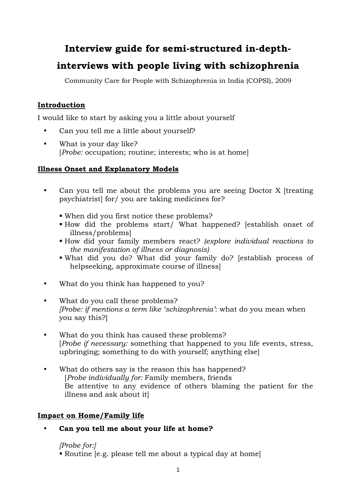# Interview guide for semi-structured in-depth-

# interviews with people living with schizophrenia

Community Care for People with Schizophrenia in India (COPSI), 2009

# Introduction

I would like to start by asking you a little about yourself

- Can you tell me a little about yourself?
- What is your day like? [Probe: occupation; routine; interests; who is at home]

# Illness Onset and Explanatory Models

- Can you tell me about the problems you are seeing Doctor X [treating psychiatrist] for/ you are taking medicines for?
	- When did you first notice these problems?
	- How did the problems start/ What happened? [establish onset of illness/problems]
	- How did your family members react? (explore individual reactions to the manifestation of illness or diagnosis)
	- What did you do? What did your family do? [establish process of helpseeking, approximate course of illness]
- What do you think has happened to you?
- What do you call these problems? [Probe: if mentions a term like 'schizophrenia': what do you mean when you say this?]
- What do you think has caused these problems? [Probe if necessary: something that happened to you life events, stress, upbringing; something to do with yourself; anything else]
- What do others say is the reason this has happened? [Probe individually for: Family members, friends Be attentive to any evidence of others blaming the patient for the illness and ask about it]

# Impact on Home/Family life

• Can you tell me about your life at home?

[Probe for:] Routine [e.g. please tell me about a typical day at home]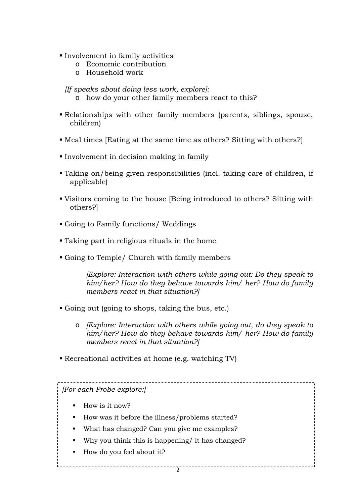- Involvement in family activities
	- o Economic contribution
	- o Household work

[If speaks about doing less work, explore]:

- o how do your other family members react to this?
- Relationships with other family members (parents, siblings, spouse, children)
- Meal times [Eating at the same time as others? Sitting with others?]
- Involvement in decision making in family
- Taking on/being given responsibilities (incl. taking care of children, if applicable)
- Visitors coming to the house [Being introduced to others? Sitting with others?]
- Going to Family functions/ Weddings
- Taking part in religious rituals in the home
- Going to Temple/ Church with family members

[Explore: Interaction with others while going out: Do they speak to him/her? How do they behave towards him/ her? How do family members react in that situation?]

- Going out (going to shops, taking the bus, etc.)
	- o [Explore: Interaction with others while going out, do they speak to him/her? How do they behave towards him/ her? How do family members react in that situation?]

Recreational activities at home (e.g. watching TV)

[For each Probe explore:]

- How is it now?
- How was it before the illness/problems started?
- What has changed? Can you give me examples?
- Why you think this is happening/ it has changed?
- How do you feel about it?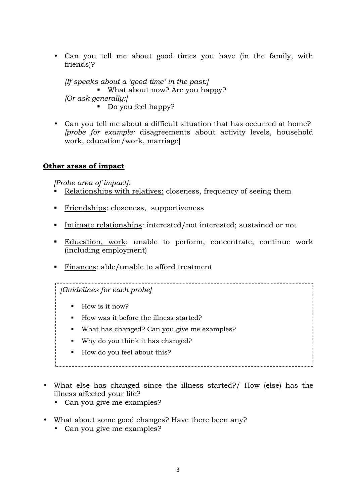• Can you tell me about good times you have (in the family, with friends)?

If speaks about a 'good time' in the past: What about now? Are you happy? [Or ask generally:] Do you feel happy?

• Can you tell me about a difficult situation that has occurred at home? [probe for example: disagreements about activity levels, household work, education/work, marriage]

#### Other areas of impact

[Probe area of impact]:

- Relationships with relatives: closeness, frequency of seeing them
- Friendships: closeness, supportiveness
- Intimate relationships: interested/not interested; sustained or not
- Education, work: unable to perform, concentrate, continue work (including employment)
- Finances: able/unable to afford treatment

[Guidelines for each probe]

- $\blacksquare$  How is it now?
- How was it before the illness started?
- What has changed? Can you give me examples?
- Why do you think it has changed?
- How do you feel about this?
- 
- What else has changed since the illness started?/ How (else) has the illness affected your life?
	- Can you give me examples?
- What about some good changes? Have there been any?
	- Can you give me examples?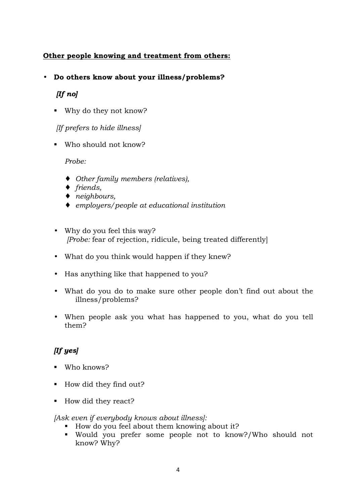## Other people knowing and treatment from others:

#### • Do others know about your illness/problems?

### $[If no]$

Why do they not know?

[If prefers to hide illness]

Who should not know?

#### Probe:

- ♦ Other family members (relatives),
- ♦ friends,
- ♦ neighbours,
- ♦ employers/people at educational institution
- Why do you feel this way? [Probe: fear of rejection, ridicule, being treated differently]
- What do you think would happen if they knew?
- Has anything like that happened to you?
- What do you do to make sure other people don't find out about the illness/problems?
- When people ask you what has happened to you, what do you tell them?

# [If yes]

- Who knows?
- How did they find out?
- How did they react?

[Ask even if everybody knows about illness]:

- How do you feel about them knowing about it?
- Would you prefer some people not to know?/Who should not know? Why?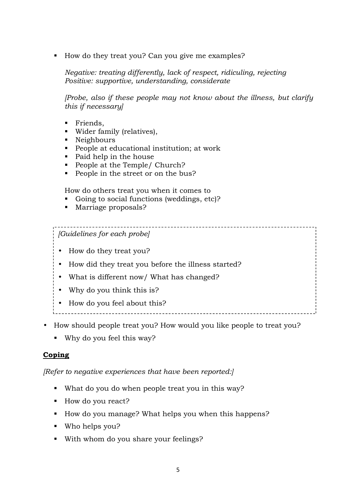How do they treat you? Can you give me examples?

Negative: treating differently, lack of respect, ridiculing, rejecting Positive: supportive, understanding, considerate

[Probe, also if these people may not know about the illness, but clarify this if necessary]

\_\_\_\_\_\_\_\_\_\_\_\_\_\_\_\_\_\_\_\_\_\_\_\_\_\_\_\_\_\_

- **Friends,**
- Wider family (relatives),
- Neighbours
- People at educational institution; at work
- Paid help in the house
- People at the Temple/ Church?
- People in the street or on the bus?

How do others treat you when it comes to

- Going to social functions (weddings, etc)?
- **Marriage proposals?**

#### [Guidelines for each probe]

- How do they treat you?
- How did they treat you before the illness started?
- What is different now/ What has changed?
- Why do you think this is?
- How do you feel about this?
- 
- How should people treat you? How would you like people to treat you?
	- Why do you feel this way?

#### **Coping**

[Refer to negative experiences that have been reported:]

- What do you do when people treat you in this way?
- How do you react?
- How do you manage? What helps you when this happens?
- Who helps you?
- With whom do you share your feelings?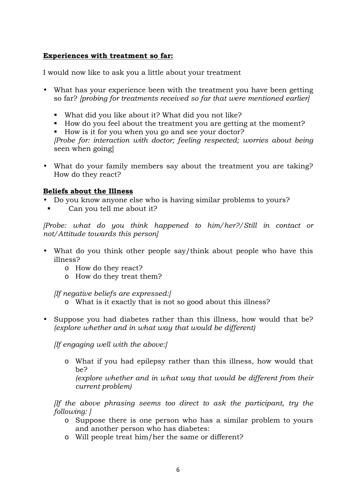#### Experiences with treatment so far:

I would now like to ask you a little about your treatment

- What has your experience been with the treatment you have been getting so far? [probing for treatments received so far that were mentioned earlier]
	- What did you like about it? What did you not like?
	- How do you feel about the treatment you are getting at the moment?
	- How is it for you when you go and see your doctor?

[Probe for: interaction with doctor; feeling respected; worries about being seen when going]

• What do your family members say about the treatment you are taking? How do they react?

#### Beliefs about the Illness

- Do you know anyone else who is having similar problems to yours?
- Can you tell me about it?

[Probe: what do you think happened to him/her?/Still in contact or not/Attitude towards this person]

- What do you think other people say/think about people who have this illness?
	- o How do they react?
	- o How do they treat them?

[If negative beliefs are expressed:]

- o What is it exactly that is not so good about this illness?
- Suppose you had diabetes rather than this illness, how would that be? (explore whether and in what way that would be different)

[If engaging well with the above:]

o What if you had epilepsy rather than this illness, how would that be?

(explore whether and in what way that would be different from their current problem)

[If the above phrasing seems too direct to ask the participant, try the following: ]

- o Suppose there is one person who has a similar problem to yours and another person who has diabetes:
- o Will people treat him/her the same or different?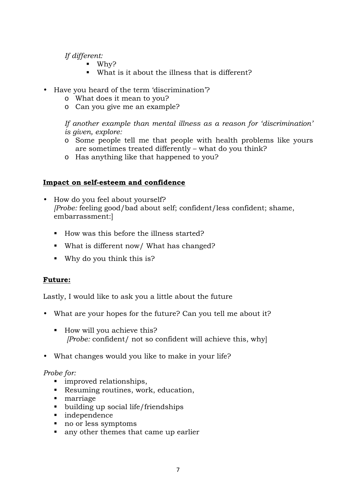#### If different:

- Why?
- What is it about the illness that is different?
- Have you heard of the term 'discrimination'?
	- o What does it mean to you?
	- o Can you give me an example?

If another example than mental illness as a reason for 'discrimination' is given, explore:

- o Some people tell me that people with health problems like yours are sometimes treated differently – what do you think?
- o Has anything like that happened to you?

#### Impact on self-esteem and confidence

- How do you feel about yourself? [Probe: feeling good/bad about self; confident/less confident; shame, embarrassment:]
	- How was this before the illness started?
	- What is different now/ What has changed?
	- Why do you think this is?

#### Future:

Lastly, I would like to ask you a little about the future

- What are your hopes for the future? Can you tell me about it?
	- How will you achieve this? [Probe: confident/ not so confident will achieve this, why]
- What changes would you like to make in your life?

#### Probe for:

- **I** improved relationships,
- Resuming routines, work, education,
- **narriage**
- building up social life/friendships
- independence
- no or less symptoms
- any other themes that came up earlier